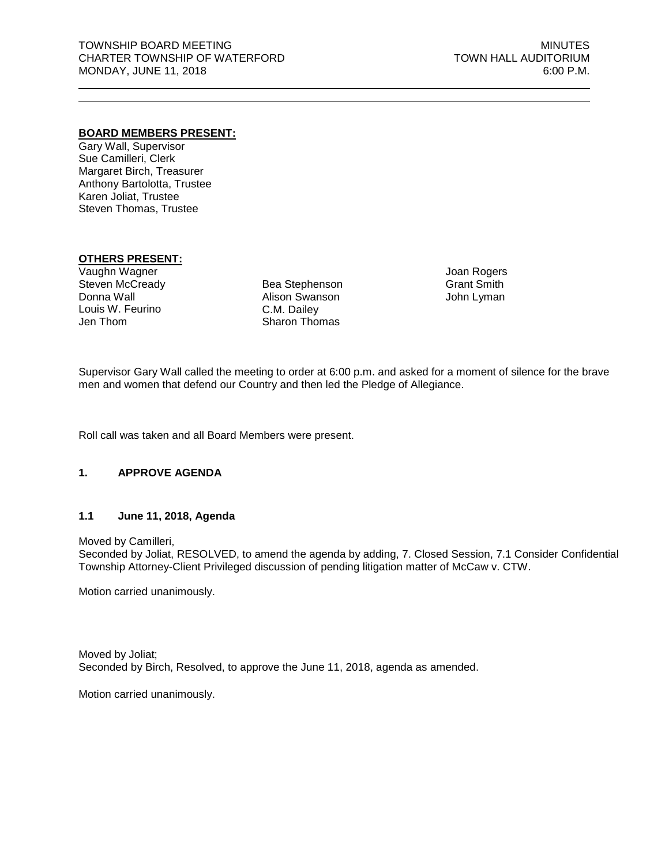#### **BOARD MEMBERS PRESENT:**

Gary Wall, Supervisor Sue Camilleri, Clerk Margaret Birch, Treasurer Anthony Bartolotta, Trustee Karen Joliat, Trustee Steven Thomas, Trustee

# **OTHERS PRESENT:**

Vaughn Wagner Steven McCready Donna Wall Louis W. Feurino Jen Thom

Bea Stephenson Alison Swanson C.M. Dailey Sharon Thomas

Joan Rogers Grant Smith John Lyman

Supervisor Gary Wall called the meeting to order at 6:00 p.m. and asked for a moment of silence for the brave men and women that defend our Country and then led the Pledge of Allegiance.

Roll call was taken and all Board Members were present.

#### **1. APPROVE AGENDA**

## **1.1 June 11, 2018, Agenda**

Moved by Camilleri,

Seconded by Joliat, RESOLVED, to amend the agenda by adding, 7. Closed Session, 7.1 Consider Confidential Township Attorney-Client Privileged discussion of pending litigation matter of McCaw v. CTW.

Motion carried unanimously.

Moved by Joliat; Seconded by Birch, Resolved, to approve the June 11, 2018, agenda as amended.

Motion carried unanimously.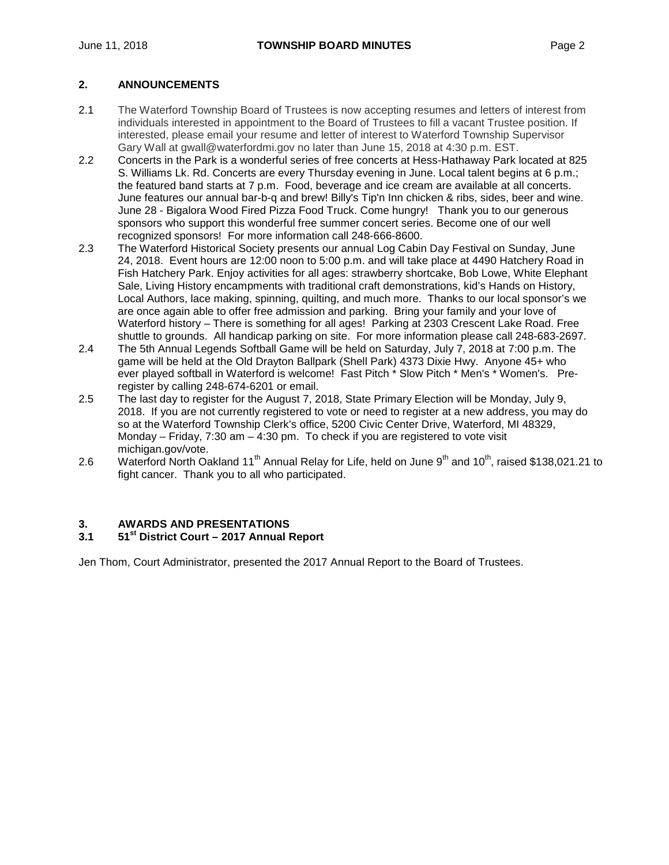## **2. ANNOUNCEMENTS**

- 2.1 The Waterford Township Board of Trustees is now accepting resumes and letters of interest from individuals interested in appointment to the Board of Trustees to fill a vacant Trustee position. If interested, please email your resume and letter of interest to Waterford Township Supervisor Gary Wall at gwall@waterfordmi.gov no later than June 15, 2018 at 4:30 p.m. EST.
- 2.2 Concerts in the Park is a wonderful series of free concerts at Hess-Hathaway Park located at 825 S. Williams Lk. Rd. Concerts are every Thursday evening in June. Local talent begins at 6 p.m.; the featured band starts at 7 p.m. Food, beverage and ice cream are available at all concerts. June features our annual bar-b-q and brew! Billy's Tip'n Inn chicken & ribs, sides, beer and wine. June 28 - Bigalora Wood Fired Pizza Food Truck. Come hungry! Thank you to our generous sponsors who support this wonderful free summer concert series. Become one of our well recognized sponsors! For more information call 248-666-8600.
- 2.3 The Waterford Historical Society presents our annual Log Cabin Day Festival on Sunday, June 24, 2018. Event hours are 12:00 noon to 5:00 p.m. and will take place at 4490 Hatchery Road in Fish Hatchery Park. Enjoy activities for all ages: strawberry shortcake, Bob Lowe, White Elephant Sale, Living History encampments with traditional craft demonstrations, kid's Hands on History, Local Authors, lace making, spinning, quilting, and much more. Thanks to our local sponsor's we are once again able to offer free admission and parking. Bring your family and your love of Waterford history – There is something for all ages! Parking at 2303 Crescent Lake Road. Free shuttle to grounds. All handicap parking on site. For more information please call 248-683-2697.
- 2.4 The 5th Annual Legends Softball Game will be held on Saturday, July 7, 2018 at 7:00 p.m. The game will be held at the Old Drayton Ballpark (Shell Park) 4373 Dixie Hwy. Anyone 45+ who ever played softball in Waterford is welcome! Fast Pitch \* Slow Pitch \* Men's \* Women's. Preregister by calling 248-674-6201 or [email.](mailto:gwall@waterfordmi.gov)
- 2.5 The last day to register for the August 7, 2018, State Primary Election will be Monday, July 9, 2018. If you are not currently registered to vote or need to register at a new address, you may do so at the Waterford Township Clerk's office, 5200 Civic Center Drive, Waterford, MI 48329, Monday – Friday,  $7:30$  am –  $4:30$  pm. To check if you are registered to vote visit michigan.gov/vote.
- 2.6 Waterford North Oakland 11<sup>th</sup> Annual Relay for Life, held on June 9<sup>th</sup> and 10<sup>th</sup>, raised \$138,021.21 to fight cancer. Thank you to all who participated.

# **3. AWARDS AND PRESENTATIONS**

## **3.1 51st District Court – 2017 Annual Report**

Jen Thom, Court Administrator, presented the 2017 Annual Report to the Board of Trustees.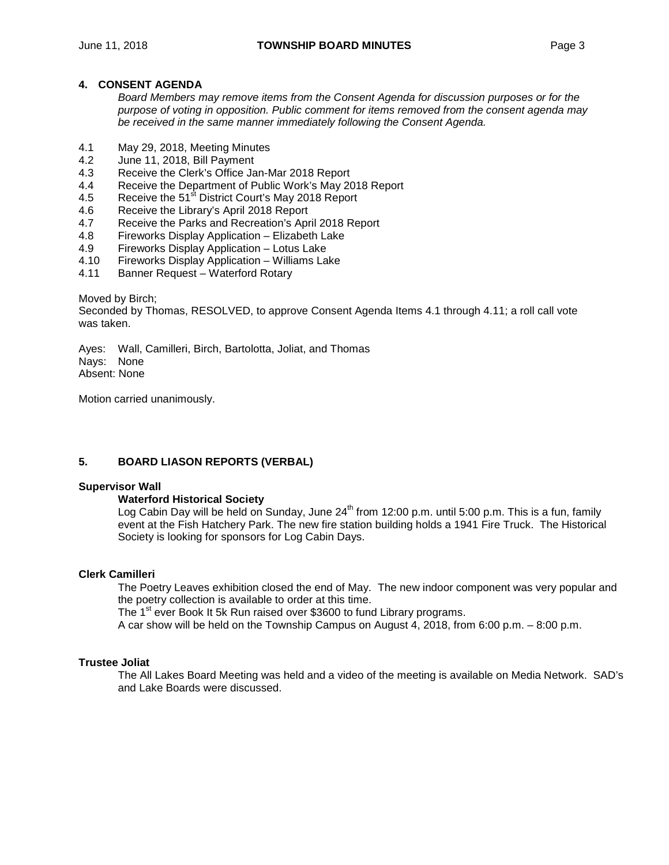#### **4. CONSENT AGENDA**

*Board Members may remove items from the Consent Agenda for discussion purposes or for the purpose of voting in opposition. Public comment for items removed from the consent agenda may be received in the same manner immediately following the Consent Agenda.*

- 4.1 May 29, 2018, Meeting Minutes
- June 11, 2018, Bill Payment
- 4.3 Receive the Clerk's Office Jan-Mar 2018 Report
- 4.4 Receive the Department of Public Work's May 2018 Report 4.5 Receive the 51<sup>st</sup> District Court's May 2018 Report
- Receive the 51<sup>st</sup> District Court's May 2018 Report
- 4.6 Receive the Library's April 2018 Report
- 4.7 Receive the Parks and Recreation's April 2018 Report<br>4.8 Fireworks Display Application Elizabeth Lake
- 4.8 Fireworks Display Application Elizabeth Lake
- 4.9 Fireworks Display Application Lotus Lake
- 4.10 Fireworks Display Application Williams Lake
- Banner Request Waterford Rotary

Moved by Birch;

Seconded by Thomas, RESOLVED, to approve Consent Agenda Items 4.1 through 4.11; a roll call vote was taken.

Ayes: Wall, Camilleri, Birch, Bartolotta, Joliat, and Thomas Nays: None Absent: None

Motion carried unanimously.

## **5. BOARD LIASON REPORTS (VERBAL)**

#### **Supervisor Wall**

#### **Waterford Historical Society**

Log Cabin Day will be held on Sunday, June  $24<sup>th</sup>$  from 12:00 p.m. until 5:00 p.m. This is a fun, family event at the Fish Hatchery Park. The new fire station building holds a 1941 Fire Truck. The Historical Society is looking for sponsors for Log Cabin Days.

#### **Clerk Camilleri**

The Poetry Leaves exhibition closed the end of May. The new indoor component was very popular and the poetry collection is available to order at this time.

The 1<sup>st</sup> ever Book It 5k Run raised over \$3600 to fund Library programs.

A car show will be held on the Township Campus on August 4, 2018, from 6:00 p.m. – 8:00 p.m.

#### **Trustee Joliat**

The All Lakes Board Meeting was held and a video of the meeting is available on Media Network. SAD's and Lake Boards were discussed.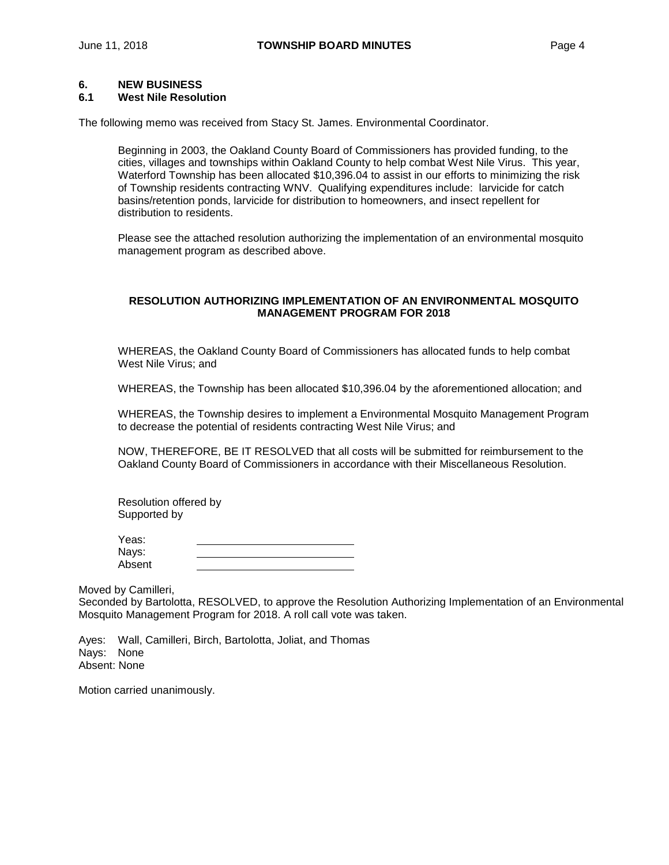#### **6. NEW BUSINESS**

#### **6.1 West Nile Resolution**

The following memo was received from Stacy St. James. Environmental Coordinator.

Beginning in 2003, the Oakland County Board of Commissioners has provided funding, to the cities, villages and townships within Oakland County to help combat West Nile Virus. This year, Waterford Township has been allocated \$10,396.04 to assist in our efforts to minimizing the risk of Township residents contracting WNV. Qualifying expenditures include: larvicide for catch basins/retention ponds, larvicide for distribution to homeowners, and insect repellent for distribution to residents.

Please see the attached resolution authorizing the implementation of an environmental mosquito management program as described above.

#### **RESOLUTION AUTHORIZING IMPLEMENTATION OF AN ENVIRONMENTAL MOSQUITO MANAGEMENT PROGRAM FOR 2018**

WHEREAS, the Oakland County Board of Commissioners has allocated funds to help combat West Nile Virus; and

WHEREAS, the Township has been allocated \$10,396.04 by the aforementioned allocation; and

WHEREAS, the Township desires to implement a Environmental Mosquito Management Program to decrease the potential of residents contracting West Nile Virus; and

NOW, THEREFORE, BE IT RESOLVED that all costs will be submitted for reimbursement to the Oakland County Board of Commissioners in accordance with their Miscellaneous Resolution.

Resolution offered by Supported by

| Yeas:  |  |
|--------|--|
| Nays:  |  |
| Absent |  |

Moved by Camilleri,

Seconded by Bartolotta, RESOLVED, to approve the Resolution Authorizing Implementation of an Environmental Mosquito Management Program for 2018. A roll call vote was taken.

Ayes: Wall, Camilleri, Birch, Bartolotta, Joliat, and Thomas Nays: None Absent: None

Motion carried unanimously.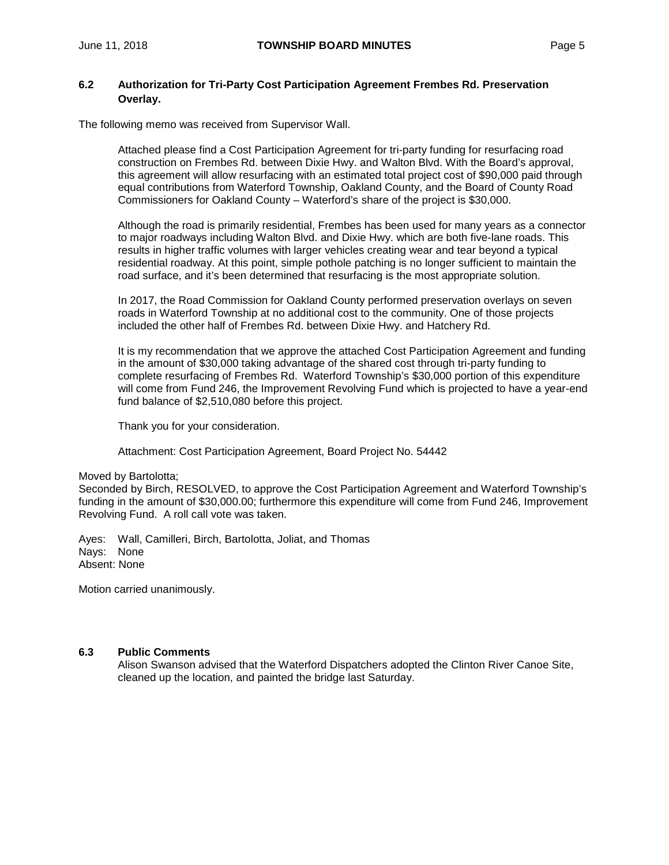## **6.2 Authorization for Tri-Party Cost Participation Agreement Frembes Rd. Preservation Overlay.**

The following memo was received from Supervisor Wall.

Attached please find a Cost Participation Agreement for tri-party funding for resurfacing road construction on Frembes Rd. between Dixie Hwy. and Walton Blvd. With the Board's approval, this agreement will allow resurfacing with an estimated total project cost of \$90,000 paid through equal contributions from Waterford Township, Oakland County, and the Board of County Road Commissioners for Oakland County – Waterford's share of the project is \$30,000.

Although the road is primarily residential, Frembes has been used for many years as a connector to major roadways including Walton Blvd. and Dixie Hwy. which are both five-lane roads. This results in higher traffic volumes with larger vehicles creating wear and tear beyond a typical residential roadway. At this point, simple pothole patching is no longer sufficient to maintain the road surface, and it's been determined that resurfacing is the most appropriate solution.

In 2017, the Road Commission for Oakland County performed preservation overlays on seven roads in Waterford Township at no additional cost to the community. One of those projects included the other half of Frembes Rd. between Dixie Hwy. and Hatchery Rd.

It is my recommendation that we approve the attached Cost Participation Agreement and funding in the amount of \$30,000 taking advantage of the shared cost through tri-party funding to complete resurfacing of Frembes Rd. Waterford Township's \$30,000 portion of this expenditure will come from Fund 246, the Improvement Revolving Fund which is projected to have a year-end fund balance of \$2,510,080 before this project.

Thank you for your consideration.

Attachment: Cost Participation Agreement, Board Project No. 54442

#### Moved by Bartolotta;

Seconded by Birch, RESOLVED, to approve the Cost Participation Agreement and Waterford Township's funding in the amount of \$30,000.00; furthermore this expenditure will come from Fund 246, Improvement Revolving Fund. A roll call vote was taken.

Ayes: Wall, Camilleri, Birch, Bartolotta, Joliat, and Thomas Nays: None Absent: None

Motion carried unanimously.

#### **6.3 Public Comments**

Alison Swanson advised that the Waterford Dispatchers adopted the Clinton River Canoe Site, cleaned up the location, and painted the bridge last Saturday.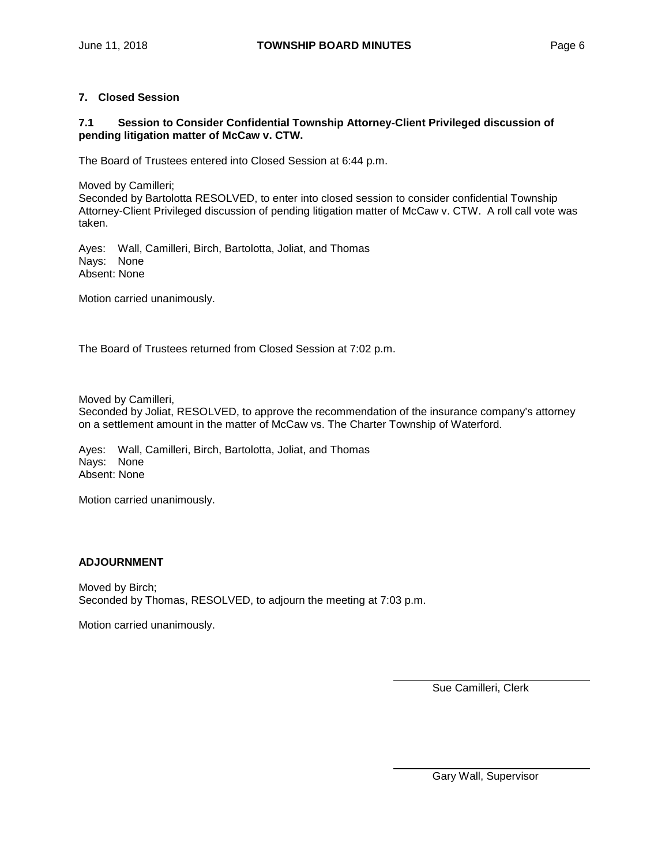## **7. Closed Session**

## **7.1 Session to Consider Confidential Township Attorney-Client Privileged discussion of pending litigation matter of McCaw v. CTW.**

The Board of Trustees entered into Closed Session at 6:44 p.m.

Moved by Camilleri;

Seconded by Bartolotta RESOLVED, to enter into closed session to consider confidential Township Attorney-Client Privileged discussion of pending litigation matter of McCaw v. CTW. A roll call vote was taken.

Ayes: Wall, Camilleri, Birch, Bartolotta, Joliat, and Thomas Nays: None Absent: None

Motion carried unanimously.

The Board of Trustees returned from Closed Session at 7:02 p.m.

Moved by Camilleri,

Seconded by Joliat, RESOLVED, to approve the recommendation of the insurance company's attorney on a settlement amount in the matter of McCaw vs. The Charter Township of Waterford.

Ayes: Wall, Camilleri, Birch, Bartolotta, Joliat, and Thomas Nays: None Absent: None

Motion carried unanimously.

#### **ADJOURNMENT**

Moved by Birch; Seconded by Thomas, RESOLVED, to adjourn the meeting at 7:03 p.m.

Motion carried unanimously.

Sue Camilleri, Clerk

Gary Wall, Supervisor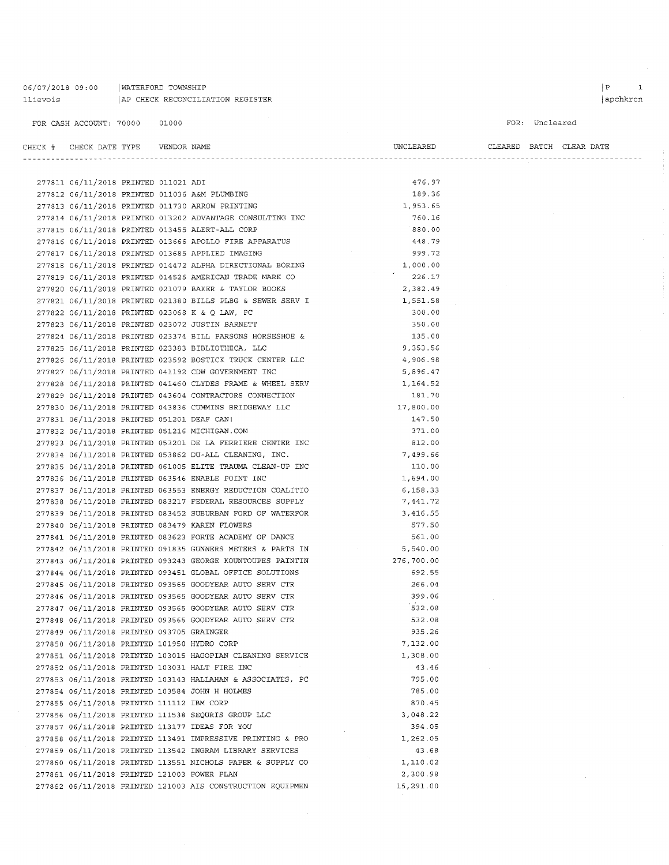## 06/07/2018 09:00 | WATERFORD TOWNSHIP llievois  $AP$  CHECK RECONCILIATION REGISTER

```
FOR: Uncleared
```

| CHECK # CHECK DATE TYPE    VENDOR NAME      |  |                                                            | UNCLEARED  |  | CLEARED BATCH CLEAR DATE |
|---------------------------------------------|--|------------------------------------------------------------|------------|--|--------------------------|
|                                             |  |                                                            |            |  |                          |
|                                             |  |                                                            |            |  |                          |
| 277811 06/11/2018 PRINTED 011021 ADI        |  |                                                            | 476.97     |  |                          |
|                                             |  | 277812 06/11/2018 PRINTED 011036 A&M PLUMBING              | 189.36     |  |                          |
|                                             |  | 277813 06/11/2018 PRINTED 011730 ARROW PRINTING            | 1,953.65   |  |                          |
|                                             |  | 277814 06/11/2018 PRINTED 013202 ADVANTAGE CONSULTING INC  | 760.16     |  |                          |
|                                             |  | 277815 06/11/2018 PRINTED 013455 ALERT-ALL CORP            | 880.00     |  |                          |
|                                             |  | 277816 06/11/2018 PRINTED 013666 APOLLO FIRE APPARATUS     | 448.79     |  |                          |
|                                             |  | 277817 06/11/2018 PRINTED 013685 APPLIED IMAGING           | 999.72     |  |                          |
|                                             |  | 277818 06/11/2018 PRINTED 014472 ALPHA DIRECTIONAL BORING  | 1,000.00   |  |                          |
|                                             |  | 277819 06/11/2018 PRINTED 014525 AMERICAN TRADE MARK CO    | 226.17     |  |                          |
|                                             |  | 277820 06/11/2018 PRINTED 021079 BAKER & TAYLOR BOOKS      | 2,382.49   |  |                          |
|                                             |  | 277821 06/11/2018 PRINTED 021380 BILLS PLBG & SEWER SERV I | 1,551.58   |  |                          |
|                                             |  | 277822 06/11/2018 PRINTED 023068 K & Q LAW, PC             | 300.00     |  |                          |
|                                             |  | 277823 06/11/2018 PRINTED 023072 JUSTIN BARNETT            | 350.00     |  |                          |
|                                             |  | 277824 06/11/2018 PRINTED 023374 BILL PARSONS HORSESHOE &  | 135.00     |  |                          |
|                                             |  | 277825 06/11/2018 PRINTED 023383 BIBLIOTHECA, LLC          | 9,353.56   |  |                          |
|                                             |  | 277826 06/11/2018 PRINTED 023592 BOSTICK TRUCK CENTER LLC  | 4,906.98   |  |                          |
|                                             |  | 277827 06/11/2018 PRINTED 041192 CDW GOVERNMENT INC        | 5,896.47   |  |                          |
|                                             |  | 277828 06/11/2018 PRINTED 041460 CLYDES FRAME & WHEEL SERV | 1,164.52   |  |                          |
|                                             |  | 277829 06/11/2018 PRINTED 043604 CONTRACTORS CONNECTION    | 181.70     |  |                          |
|                                             |  | 277830 06/11/2018 PRINTED 043836 CUMMINS BRIDGEWAY LLC     | 17,800.00  |  |                          |
| 277831 06/11/2018 PRINTED 051201 DEAF CAN!  |  |                                                            | 147.50     |  |                          |
|                                             |  | 277832 06/11/2018 PRINTED 051216 MICHIGAN.COM              | 371.00     |  |                          |
|                                             |  | 277833 06/11/2018 PRINTED 053201 DE LA FERRIERE CENTER INC | 812.00     |  |                          |
|                                             |  | 277834 06/11/2018 PRINTED 053862 DU-ALL CLEANING, INC.     | 7,499.66   |  |                          |
|                                             |  | 277835 06/11/2018 PRINTED 061005 ELITE TRAUMA CLEAN-UP INC | 110.00     |  |                          |
|                                             |  | 277836 06/11/2018 PRINTED 063546 ENABLE POINT INC          | 1,694.00   |  |                          |
|                                             |  | 277837 06/11/2018 PRINTED 063553 ENERGY REDUCTION COALITIO | 6,158.33   |  |                          |
|                                             |  | 277838 06/11/2018 PRINTED 083217 FEDERAL RESOURCES SUPPLY  | 7,441.72   |  |                          |
|                                             |  | 277839 06/11/2018 PRINTED 083452 SUBURBAN FORD OF WATERFOR | 3,416.55   |  |                          |
|                                             |  | 277840 06/11/2018 PRINTED 083479 KAREN FLOWERS             | 577.50     |  |                          |
|                                             |  | 277841 06/11/2018 PRINTED 083623 FORTE ACADEMY OF DANCE    | 561.00     |  |                          |
|                                             |  | 277842 06/11/2018 PRINTED 091835 GUNNERS METERS & PARTS IN | 5,540.00   |  |                          |
|                                             |  | 277843 06/11/2018 PRINTED 093243 GEORGE KOUNTOUPES PAINTIN | 276,700.00 |  |                          |
|                                             |  | 277844 06/11/2018 PRINTED 093451 GLOBAL OFFICE SOLUTIONS   | 692.55     |  |                          |
|                                             |  | 277845 06/11/2018 PRINTED 093565 GOODYEAR AUTO SERV CTR    | 266.04     |  |                          |
|                                             |  | 277846 06/11/2018 PRINTED 093565 GOODYEAR AUTO SERV CTR    | 399.06     |  |                          |
|                                             |  | 277847 06/11/2018 PRINTED 093565 GOODYEAR AUTO SERV CTR    | 532.08     |  |                          |
|                                             |  | 277848 06/11/2018 PRINTED 093565 GOODYEAR AUTO SERV CTR    | 532.08     |  |                          |
| 277849 06/11/2018 PRINTED 093705 GRAINGER   |  |                                                            | 935.26     |  |                          |
| 277850 06/11/2018 PRINTED 101950 HYDRO CORP |  |                                                            | 7,132.00   |  |                          |
|                                             |  | 277851 06/11/2018 PRINTED 103015 HAGOPIAN CLEANING SERVICE | 1,308.00   |  |                          |
|                                             |  | 277852 06/11/2018 PRINTED 103031 HALT FIRE INC             | 43.46      |  |                          |
|                                             |  | 277853 06/11/2018 PRINTED 103143 HALLAHAN & ASSOCIATES, PC | 795.00     |  |                          |
|                                             |  | 277854 06/11/2018 PRINTED 103584 JOHN H HOLMES             | 785.00     |  |                          |
| 277855 06/11/2018 PRINTED 111112 IBM CORP   |  |                                                            | 870.45     |  |                          |
|                                             |  | 277856 06/11/2018 PRINTED 111538 SEQURIS GROUP LLC         | 3,048.22   |  |                          |
|                                             |  | 277857 06/11/2018 PRINTED 113177 IDEAS FOR YOU             | 394.05     |  |                          |
|                                             |  | 277858 06/11/2018 PRINTED 113491 IMPRESSIVE PRINTING & PRO | 1,262.05   |  |                          |
|                                             |  | 277859 06/11/2018 PRINTED 113542 INGRAM LIBRARY SERVICES   | 43.68      |  |                          |
|                                             |  | 277860 06/11/2018 PRINTED 113551 NICHOLS PAPER & SUPPLY CO | 1,110.02   |  |                          |
| 277861 06/11/2018 PRINTED 121003 POWER PLAN |  |                                                            | 2,300.98   |  |                          |
|                                             |  | 277862 06/11/2018 PRINTED 121003 AIS CONSTRUCTION EQUIPMEN | 15,291.00  |  |                          |
|                                             |  |                                                            |            |  |                          |

 $\begin{array}{ccc} \mid & \mathbf{P} & \mathbf{I} \end{array}$ apchkrcn

Ĵ,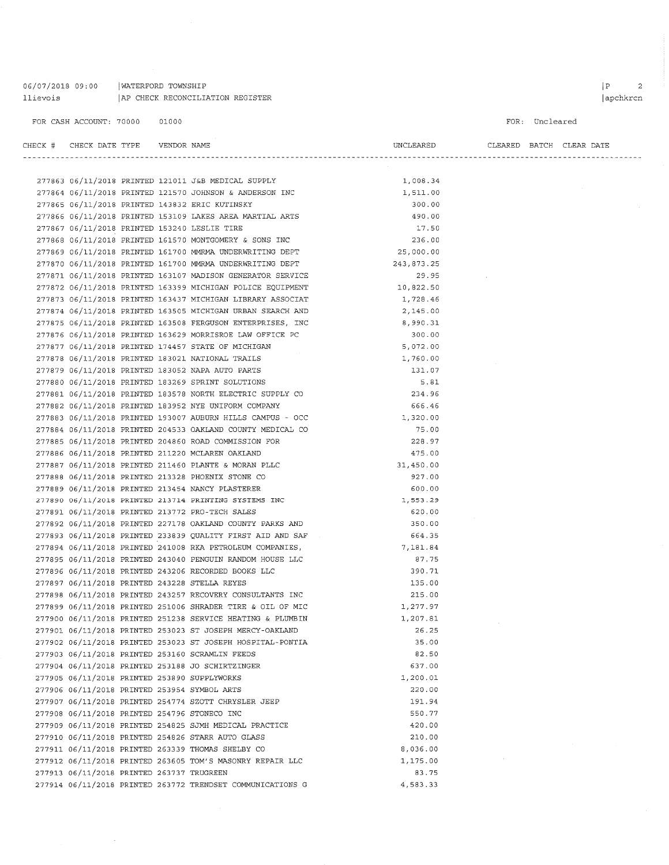06/07/2018 09:00 | WATERFORD TOWNSHIP 11 ievois | AP CHECK RECONCILIATION REGISTER

 $\mathcal{A}^{\mathcal{A}}$ 

| CHECK # | CHECK DATE TYPE VENDOR NAME               |  |                                                                                                           | UNCLEARED            |  | CLEARED BATCH CLEAR DATE |
|---------|-------------------------------------------|--|-----------------------------------------------------------------------------------------------------------|----------------------|--|--------------------------|
|         |                                           |  |                                                                                                           |                      |  |                          |
|         |                                           |  | 277863 06/11/2018 PRINTED 121011 J&B MEDICAL SUPPLY                                                       |                      |  |                          |
|         |                                           |  |                                                                                                           | 1,008.34<br>1,511.00 |  |                          |
|         |                                           |  | 277864 06/11/2018 PRINTED 121570 JOHNSON & ANDERSON INC<br>277865 06/11/2018 PRINTED 143832 ERIC KUTINSKY | 300.00               |  |                          |
|         |                                           |  | 277866 06/11/2018 PRINTED 153109 LAKES AREA MARTIAL ARTS                                                  | 490.00               |  |                          |
|         |                                           |  |                                                                                                           | 17.50                |  |                          |
|         |                                           |  | 277867 06/11/2018 PRINTED 153240 LESLIE TIRE<br>277868 06/11/2018 PRINTED 161570 MONTGOMERY & SONS INC    | 236.00               |  |                          |
|         |                                           |  | 277869 06/11/2018 PRINTED 161700 MMRMA UNDERWRITING DEPT                                                  | 25,000.00            |  |                          |
|         |                                           |  | 277870 06/11/2018 PRINTED 161700 MMRMA UNDERWRITING DEPT                                                  | 243,873.25           |  |                          |
|         |                                           |  | 277871 06/11/2018 PRINTED 163107 MADISON GENERATOR SERVICE                                                | 29.95                |  |                          |
|         |                                           |  | 277872 06/11/2018 PRINTED 163399 MICHIGAN POLICE EQUIPMENT                                                | 10,822.50            |  |                          |
|         |                                           |  | 277873 06/11/2018 PRINTED 163437 MICHIGAN LIBRARY ASSOCIAT                                                | 1,728.46             |  |                          |
|         |                                           |  | 277874 06/11/2018 PRINTED 163505 MICHIGAN URBAN SEARCH AND                                                | 2,145.00             |  |                          |
|         |                                           |  | 277875 06/11/2018 PRINTED 163508 FERGUSON ENTERPRISES, INC                                                |                      |  |                          |
|         |                                           |  |                                                                                                           | 8,990.31<br>300.00   |  |                          |
|         |                                           |  | 277876 06/11/2018 PRINTED 163629 MORRISROE LAW OFFICE PC                                                  | 5,072.00             |  |                          |
|         |                                           |  | 277877 06/11/2018 PRINTED 174457 STATE OF MICHIGAN                                                        |                      |  |                          |
|         |                                           |  | 277878 06/11/2018 PRINTED 183021 NATIONAL TRAILS<br>277879 06/11/2018 PRINTED 183052 NAPA AUTO PARTS      | 1,760.00             |  |                          |
|         |                                           |  |                                                                                                           | 131.07               |  |                          |
|         |                                           |  | 277880 06/11/2018 PRINTED 183269 SPRINT SOLUTIONS                                                         | 5.81                 |  |                          |
|         |                                           |  | 277881 06/11/2018 PRINTED 183578 NORTH ELECTRIC SUPPLY CO                                                 | 234.96               |  |                          |
|         |                                           |  | 277882 06/11/2018 PRINTED 183952 NYE UNIFORM COMPANY                                                      | 666.46               |  |                          |
|         |                                           |  | 277883 06/11/2018 PRINTED 193007 AUBURN HILLS CAMPUS - OCC                                                | 1,320.00             |  |                          |
|         |                                           |  | 277884 06/11/2018 PRINTED 204533 OAKLAND COUNTY MEDICAL CO                                                | 75.00                |  |                          |
|         |                                           |  | 277885 06/11/2018 PRINTED 204860 ROAD COMMISSION FOR                                                      | 228.97               |  |                          |
|         |                                           |  | 277886 06/11/2018 PRINTED 211220 MCLAREN OAKLAND                                                          | 475.00               |  |                          |
|         |                                           |  | 277887 06/11/2018 PRINTED 211460 PLANTE & MORAN PLLC                                                      | 31,450.00            |  |                          |
|         |                                           |  | 277888 06/11/2018 PRINTED 213328 PHOENIX STONE CO                                                         | 927.00               |  |                          |
|         |                                           |  | 277889 06/11/2018 PRINTED 213454 NANCY PLASTERER                                                          | 600.00               |  |                          |
|         |                                           |  | 277890 06/11/2018 PRINTED 213714 PRINTING SYSTEMS INC                                                     | 1,553.29             |  |                          |
|         |                                           |  | 277891 06/11/2018 PRINTED 213772 PRO-TECH SALES                                                           | 620.00               |  |                          |
|         |                                           |  | 277892 06/11/2018 PRINTED 227178 OAKLAND COUNTY PARKS AND                                                 | 350.00               |  |                          |
|         |                                           |  | 277893 06/11/2018 PRINTED 233839 QUALITY FIRST AID AND SAF                                                | 664.35               |  |                          |
|         |                                           |  | 277894 06/11/2018 PRINTED 241008 RKA PETROLEUM COMPANIES,                                                 | 7,181.84             |  |                          |
|         |                                           |  | 277895 06/11/2018 PRINTED 243040 PENGUIN RANDOM HOUSE LLC                                                 | 87.75                |  |                          |
|         |                                           |  | 277896 06/11/2018 PRINTED 243206 RECORDED BOOKS LLC                                                       | 390.71               |  |                          |
|         |                                           |  | 277897 06/11/2018 PRINTED 243228 STELLA REYES                                                             | 135.00               |  |                          |
|         |                                           |  | 277898 06/11/2018 PRINTED 243257 RECOVERY CONSULTANTS INC                                                 | 215.00               |  |                          |
|         |                                           |  | 277899 06/11/2018 PRINTED 251006 SHRADER TIRE & OIL OF MIC                                                | 1,277.97             |  |                          |
|         |                                           |  | 277900 06/11/2018 PRINTED 251238 SERVICE HEATING & PLUMBIN                                                | 1,207.81             |  |                          |
|         |                                           |  | 277901 06/11/2018 PRINTED 253023 ST JOSEPH MERCY-OAKLAND                                                  | 26.25                |  |                          |
|         |                                           |  | 277902 06/11/2018 PRINTED 253023 ST JOSEPH HOSPITAL-PONTIA                                                | 35.00                |  |                          |
|         |                                           |  | 277903 06/11/2018 PRINTED 253160 SCRAMLIN FEEDS                                                           | 82.50                |  |                          |
|         |                                           |  | 277904 06/11/2018 PRINTED 253188 JO SCHIRTZINGER                                                          | 637.00               |  |                          |
|         |                                           |  | 277905 06/11/2018 PRINTED 253890 SUPPLYWORKS                                                              | 1,200.01             |  |                          |
|         |                                           |  | 277906 06/11/2018 PRINTED 253954 SYMBOL ARTS                                                              | 220.00               |  |                          |
|         |                                           |  | 277907 06/11/2018 PRINTED 254774 SZOTT CHRYSLER JEEP                                                      | 191.94               |  |                          |
|         |                                           |  | 277908 06/11/2018 PRINTED 254796 STONECO INC                                                              | 550.77               |  |                          |
|         |                                           |  | 277909 06/11/2018 PRINTED 254825 SJMH MEDICAL PRACTICE                                                    | 420.00               |  |                          |
|         |                                           |  | 277910 06/11/2018 PRINTED 254826 STARR AUTO GLASS                                                         | 210.00               |  |                          |
|         |                                           |  | 277911 06/11/2018 PRINTED 263339 THOMAS SHELBY CO                                                         | 8,036.00             |  |                          |
|         |                                           |  | 277912 06/11/2018 PRINTED 263605 TOM'S MASONRY REPAIR LLC                                                 | 1,175.00             |  |                          |
|         | 277913 06/11/2018 PRINTED 263737 TRUGREEN |  |                                                                                                           | 83.75                |  |                          |
|         |                                           |  | 277914 06/11/2018 PRINTED 263772 TRENDSET COMMUNICATIONS G                                                | 4,583.33             |  |                          |

 $\bar{\phantom{a}}$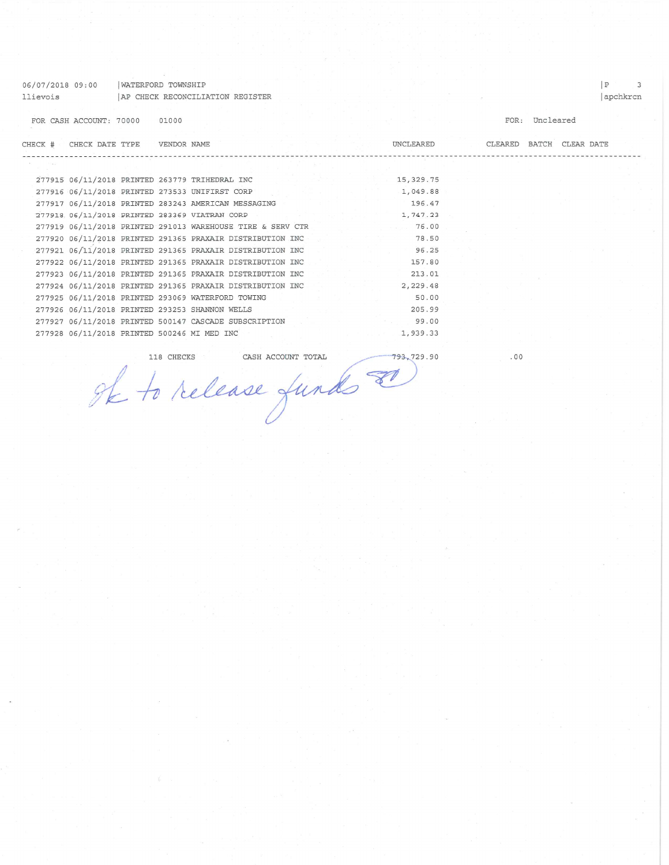| 06/07/2018 09:00 |                                        | WATERFORD TOWNSHIP |       |                                                            |  |            |                          |                | Р        | $\mathcal{B}$ |
|------------------|----------------------------------------|--------------------|-------|------------------------------------------------------------|--|------------|--------------------------|----------------|----------|---------------|
| llievois         |                                        |                    |       | AP CHECK RECONCILIATION REGISTER                           |  |            |                          |                | apchkrcn |               |
|                  | FOR CASH ACCOUNT: 70000                |                    | 01000 |                                                            |  |            |                          | FOR: Uncleared |          |               |
|                  | CHECK # CHECK DATE TYPE    VENDOR NAME |                    |       |                                                            |  | UNCLEARED  | CLEARED BATCH CLEAR DATE |                |          |               |
|                  |                                        |                    |       | -------------------------------                            |  |            |                          |                |          |               |
|                  |                                        |                    |       | 277915 06/11/2018 PRINTED 263779 TRIHEDRAL INC             |  | 15, 329.75 |                          |                |          |               |
|                  |                                        |                    |       | 277916 06/11/2018 PRINTED 273533 UNIFIRST CORP             |  | 1,049.88   |                          |                |          |               |
|                  |                                        |                    |       | 277917 06/11/2018 PRINTED 283243 AMERICAN MESSAGING        |  | 196.47     |                          |                |          |               |
|                  |                                        |                    |       | 277918 06/11/2018 PRINTED 283369 VIATRAN CORP              |  | 1,747.23   |                          |                |          |               |
|                  |                                        |                    |       | 277919 06/11/2018 PRINTED 291013 WAREHOUSE TIRE & SERV CTR |  | 76.00      |                          |                |          |               |
|                  |                                        |                    |       | 277920 06/11/2018 PRINTED 291365 PRAXAIR DISTRIBUTION INC  |  | 78.50      |                          |                |          |               |
|                  |                                        |                    |       | 277921 06/11/2018 PRINTED 291365 PRAXAIR DISTRIBUTION INC  |  | 96.25      |                          |                |          |               |
|                  |                                        |                    |       | 277922 06/11/2018 PRINTED 291365 PRAXAIR DISTRIBUTION INC  |  | 157.80     |                          |                |          |               |
|                  |                                        |                    |       | 277923 06/11/2018 PRINTED 291365 PRAXAIR DISTRIBUTION INC  |  | 213.01     |                          |                |          |               |
|                  |                                        |                    |       | 277924 06/11/2018 PRINTED 291365 PRAXAIR DISTRIBUTION INC  |  | 2,229.48   |                          |                |          |               |
|                  |                                        |                    |       | 277925 06/11/2018 PRINTED 293069 WATERFORD TOWING          |  | 50.00      |                          |                |          |               |
|                  |                                        |                    |       | 277926 06/11/2018 PRINTED 293253 SHANNON WELLS             |  | 205.99     |                          |                |          |               |
|                  |                                        |                    |       | 277927 06/11/2018 PRINTED 500147 CASCADE SUBSCRIPTION      |  | 99.00      |                          |                |          |               |
|                  |                                        |                    |       | 277928 06/11/2018 PRINTED 500246 MI MED INC                |  | 1,939.33   |                          |                |          |               |
|                  |                                        |                    |       |                                                            |  |            |                          |                |          |               |

 $.00$ 

DE La release funds